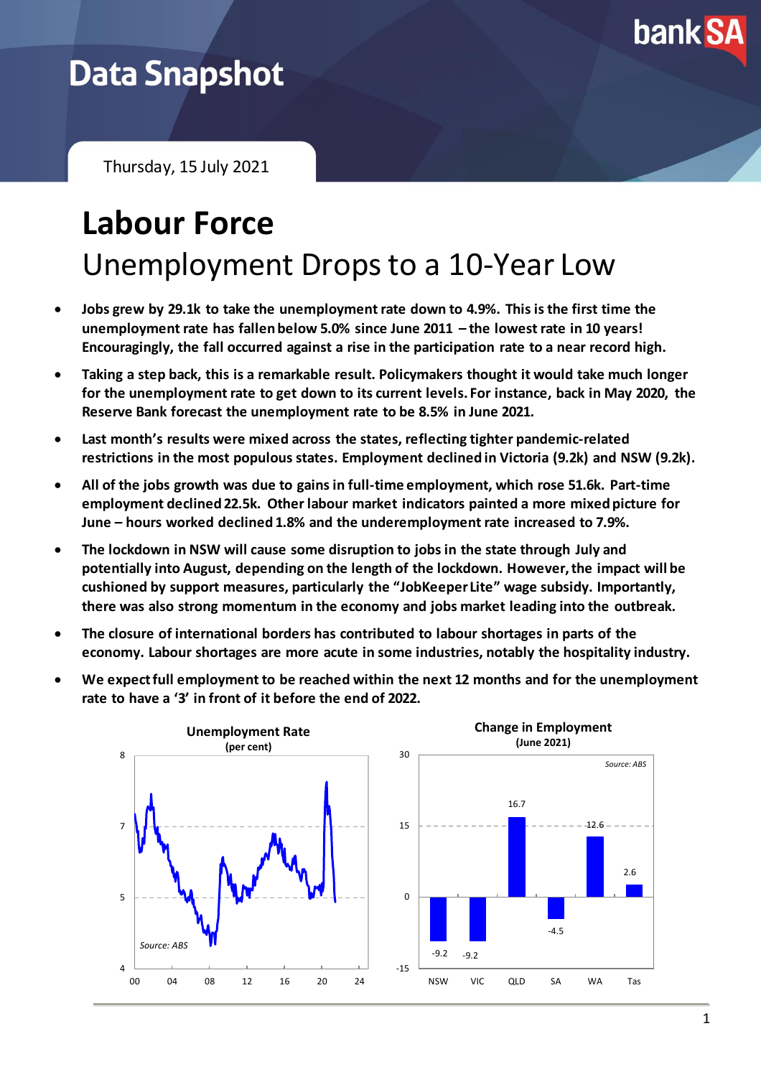

## **Data Snapshot**

Thursday, 15 July 2021

# **Labour Force** Unemployment Drops to a 10-Year Low

- **Jobs grew by 29.1k to take the unemployment rate down to 4.9%. This is the first time the unemployment rate has fallen below 5.0% since June 2011 – the lowest rate in 10 years! Encouragingly, the fall occurred against a rise in the participation rate to a near record high.**
- **Taking a step back, this is a remarkable result. Policymakers thought it would take much longer for the unemployment rate to get down to its current levels. For instance, back in May 2020, the Reserve Bank forecast the unemployment rate to be 8.5% in June 2021.**
- **Last month's results were mixed across the states, reflecting tighter pandemic-related restrictions in the most populous states. Employment declined in Victoria (9.2k) and NSW (9.2k).**
- **All of the jobs growth was due to gains in full-time employment, which rose 51.6k. Part-time employment declined 22.5k. Other labour market indicators painted a more mixed picture for June – hours worked declined 1.8% and the underemployment rate increased to 7.9%.**
- **The lockdown in NSW will cause some disruption to jobs in the state through July and potentially into August, depending on the length of the lockdown. However,the impact will be cushioned by support measures, particularly the "JobKeeper Lite" wage subsidy. Importantly, there was also strong momentum in the economy and jobs market leading into the outbreak.**
- **The closure of international borders has contributed to labour shortages in parts of the economy. Labour shortages are more acute in some industries, notably the hospitality industry.**
- **We expect full employment to be reached within the next 12 months and for the unemployment rate to have a '3' in front of it before the end of 2022.**

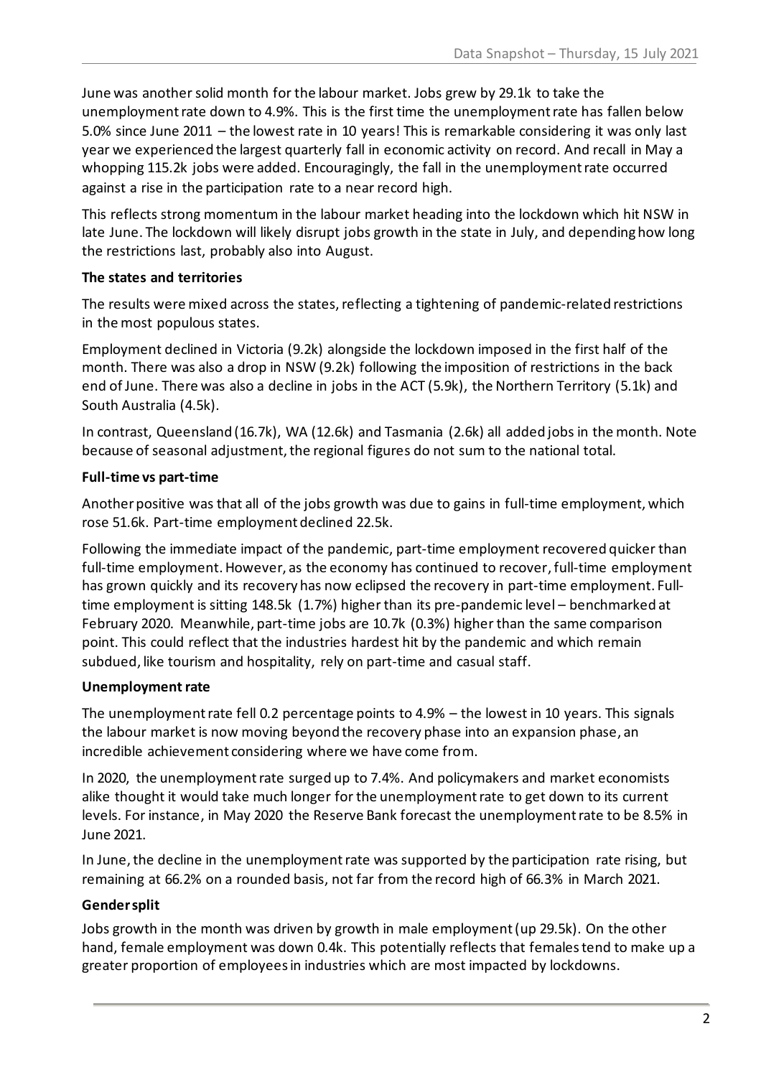June was another solid month for the labour market. Jobs grew by 29.1k to take the unemployment rate down to 4.9%. This is the first time the unemployment rate has fallen below 5.0% since June 2011 – the lowest rate in 10 years! This is remarkable considering it was only last year we experienced the largest quarterly fall in economic activity on record. And recall in May a whopping 115.2k jobs were added. Encouragingly, the fall in the unemployment rate occurred against a rise in the participation rate to a near record high.

This reflects strong momentum in the labour market heading into the lockdown which hit NSW in late June. The lockdown will likely disrupt jobs growth in the state in July, and depending how long the restrictions last, probably also into August.

#### **The states and territories**

The results were mixed across the states, reflecting a tightening of pandemic-related restrictions in the most populous states.

Employment declined in Victoria (9.2k) alongside the lockdown imposed in the first half of the month. There was also a drop in NSW (9.2k) following the imposition of restrictions in the back end of June. There was also a decline in jobs in the ACT (5.9k), the Northern Territory (5.1k) and South Australia (4.5k).

In contrast, Queensland (16.7k), WA (12.6k) and Tasmania (2.6k) all added jobs in the month. Note because of seasonal adjustment, the regional figures do not sum to the national total.

#### **Full-time vs part-time**

Another positive was that all of the jobs growth was due to gains in full-time employment, which rose 51.6k. Part-time employment declined 22.5k.

Following the immediate impact of the pandemic, part-time employment recovered quicker than full-time employment. However, as the economy has continued to recover, full-time employment has grown quickly and its recovery has now eclipsed the recovery in part-time employment. Fulltime employment is sitting 148.5k (1.7%) higher than its pre-pandemic level – benchmarked at February 2020. Meanwhile, part-time jobs are 10.7k (0.3%) higher than the same comparison point. This could reflect that the industries hardest hit by the pandemic and which remain subdued, like tourism and hospitality, rely on part-time and casual staff.

### **Unemployment rate**

The unemployment rate fell 0.2 percentage points to 4.9% – the lowest in 10 years. This signals the labour market is now moving beyond the recovery phase into an expansion phase, an incredible achievement considering where we have come from.

In 2020, the unemployment rate surged up to 7.4%. And policymakers and market economists alike thought it would take much longer for the unemploymentrate to get down to its current levels. For instance, in May 2020 the Reserve Bank forecast the unemployment rate to be 8.5% in June 2021.

In June, the decline in the unemployment rate was supported by the participation rate rising, but remaining at 66.2% on a rounded basis, not far from the record high of 66.3% in March 2021.

### **Gender split**

Jobs growth in the month was driven by growth in male employment (up 29.5k). On the other hand, female employment was down 0.4k. This potentially reflects that females tend to make up a greater proportion of employees in industries which are most impacted by lockdowns.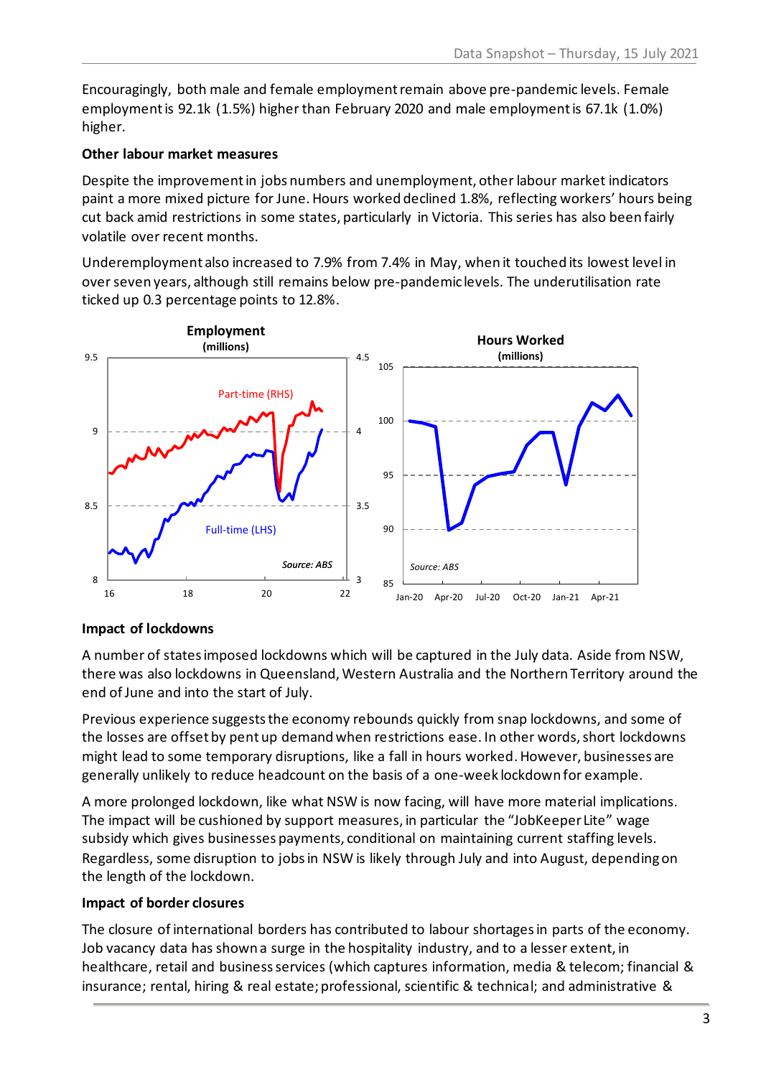Encouragingly, both male and female employment remain above pre-pandemic levels. Female employment is 92.1k (1.5%) higher than February 2020 and male employment is 67.1k (1.0%) higher.

#### **Other labour market measures**

Despite the improvement in jobs numbers and unemployment, other labour market indicators paint a more mixed picture for June. Hours worked declined 1.8%, reflecting workers' hours being cut back amid restrictions in some states, particularly in Victoria. This series has also been fairly volatile over recent months.

Underemployment also increased to 7.9% from 7.4% in May, when it touched its lowest level in over seven years, although still remains below pre-pandemic levels. The underutilisation rate ticked up 0.3 percentage points to 12.8%.



#### **Impact of lockdowns**

A number of states imposed lockdowns which will be captured in the July data. Aside from NSW, there was also lockdowns in Queensland, Western Australia and the Northern Territory around the end of June and into the start of July.

Previous experience suggests the economy rebounds quickly from snap lockdowns, and some of the losses are offset by pent up demand when restrictions ease. In other words, short lockdowns might lead to some temporary disruptions, like a fall in hours worked. However, businesses are generally unlikely to reduce headcount on the basis of a one-week lockdown for example.

A more prolonged lockdown, like what NSW is now facing, will have more material implications. The impact will be cushioned by support measures, in particular the "JobKeeper Lite" wage subsidy which gives businesses payments, conditional on maintaining current staffing levels. Regardless, some disruption to jobs in NSW is likely through July and into August, depending on the length of the lockdown.

#### **Impact of border closures**

The closure of international borders has contributed to labour shortages in parts of the economy. Job vacancy data has shown a surge in the hospitality industry, and to a lesser extent, in healthcare, retail and business services (which captures information, media & telecom; financial & insurance; rental, hiring & real estate; professional, scientific & technical; and administrative &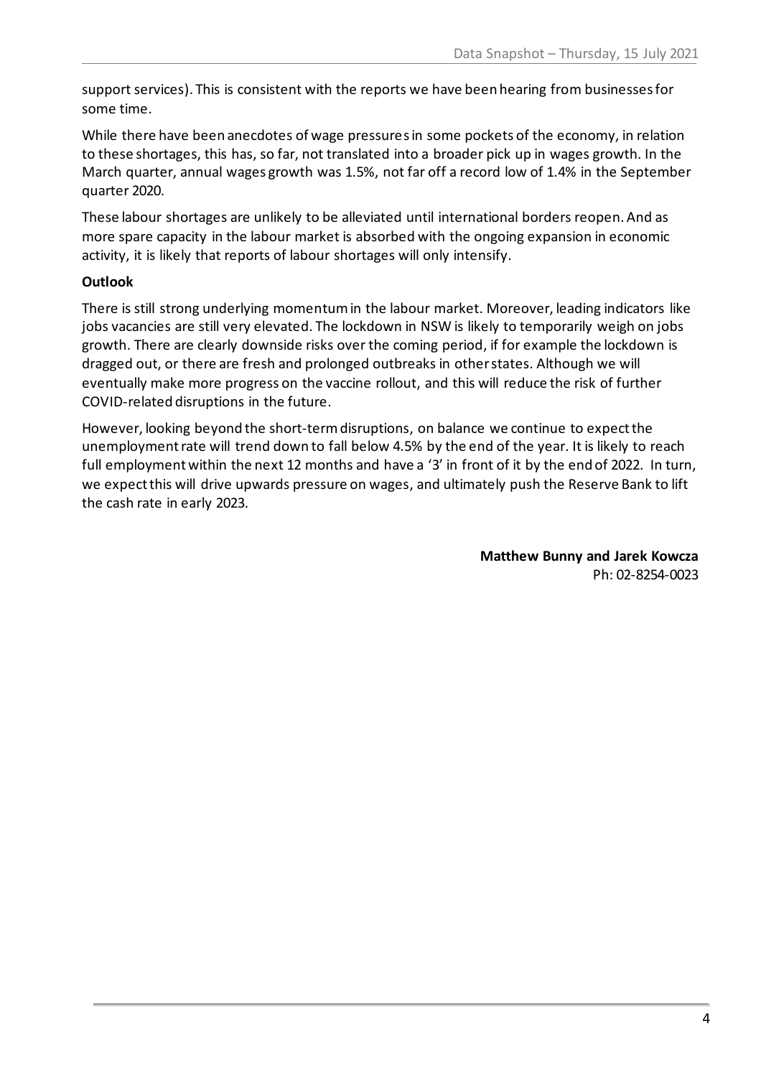support services). This is consistent with the reports we have been hearing from businesses for some time.

While there have been anecdotes of wage pressures in some pockets of the economy, in relation to these shortages, this has, so far, not translated into a broader pick up in wages growth. In the March quarter, annual wages growth was 1.5%, not far off a record low of 1.4% in the September quarter 2020.

These labour shortages are unlikely to be alleviated until international borders reopen. And as more spare capacity in the labour market is absorbed with the ongoing expansion in economic activity, it is likely that reports of labour shortages will only intensify.

#### **Outlook**

There is still strong underlying momentum in the labour market. Moreover, leading indicators like jobs vacancies are still very elevated. The lockdown in NSW is likely to temporarily weigh on jobs growth. There are clearly downside risks over the coming period, if for example the lockdown is dragged out, or there are fresh and prolonged outbreaks in other states. Although we will eventually make more progress on the vaccine rollout, and this will reduce the risk of further COVID-related disruptions in the future.

However, looking beyond the short-term disruptions, on balance we continue to expect the unemployment rate will trend down to fall below 4.5% by the end of the year. It is likely to reach full employment within the next 12 months and have a '3' in front of it by the end of 2022. In turn, we expectthis will drive upwards pressure on wages, and ultimately push the Reserve Bank to lift the cash rate in early 2023.

> **Matthew Bunny and Jarek Kowcza** Ph: 02-8254-0023